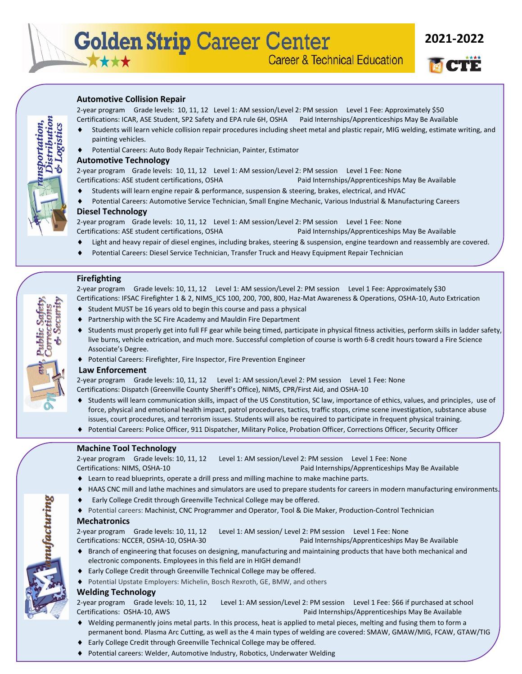**2021-2022**

# **Automotive Collision Repair**

2-year program Grade levels: 10, 11, 12 Level 1: AM session/Level 2: PM session Level 1 Fee: Approximately \$50 Certifications: ICAR, ASE Student, SP2 Safety and EPA rule 6H, OSHA Paid Internships/Apprenticeships May Be Available

- Students will learn vehicle collision repair procedures including sheet metal and plastic repair, MIG welding, estimate writing, and painting vehicles.
- Potential Careers: Auto Body Repair Technician, Painter, Estimator

## **Automotive Technology**

2-year program Grade levels: 10, 11, 12 Level 1: AM session/Level 2: PM session Level 1 Fee: None Certifications: ASE student certifications, OSHA Paid Internships/Apprenticeships May Be Available

- Students will learn engine repair & performance, suspension & steering, brakes, electrical, and HVAC
- 
- Potential Careers: Automotive Service Technician, Small Engine Mechanic, Various Industrial & Manufacturing Careers

### **Diesel Technology**

2-year program Grade levels: 10, 11, 12 Level 1: AM session/Level 2: PM session Level 1 Fee: None Certifications: ASE student certifications, OSHA Paid Internships/Apprenticeships May Be Available

- Light and heavy repair of diesel engines, including brakes, steering & suspension, engine teardown and reassembly are covered.
- Potential Careers: Diesel Service Technician, Transfer Truck and Heavy Equipment Repair Technician

# **Firefighting**

2-year program Grade levels: 10, 11, 12 Level 1: AM session/Level 2: PM session Level 1 Fee: Approximately \$30 Certifications: IFSAC Firefighter 1 & 2, NIMS\_ICS 100, 200, 700, 800, Haz-Mat Awareness & Operations, OSHA-10, Auto Extrication

- ◆ Student MUST be 16 years old to begin this course and pass a physical
- Partnership with the SC Fire Academy and Mauldin Fire Department
- Students must properly get into full FF gear while being timed, participate in physical fitness activities, perform skills in ladder safety, live burns, vehicle extrication, and much more. Successful completion of course is worth 6-8 credit hours toward a Fire Science Associate's Degree.
- Potential Careers: Firefighter, Fire Inspector, Fire Prevention Engineer

#### **Law Enforcement**

2-year program Grade levels: 10, 11, 12 Level 1: AM session/Level 2: PM session Level 1 Fee: None Certifications: Dispatch (Greenville County Sheriff's Office), NIMS, CPR/First Aid, and OSHA-10

- Students will learn communication skills, impact of the US Constitution, SC law, importance of ethics, values, and principles, use of force, physical and emotional health impact, patrol procedures, tactics, traffic stops, crime scene investigation, substance abuse issues, court procedures, and terrorism issues. Students will also be required to participate in frequent physical training.
- Potential Careers: Police Officer, 911 Dispatcher, Military Police, Probation Officer, Corrections Officer, Security Officer

# **Machine Tool Technology**

2-year program Grade levels: 10, 11, 12 Level 1: AM session/Level 2: PM session Level 1 Fee: None Certifications: NIMS, OSHA-10 **Paid Internships/Apprenticeships May Be Available** 

- Learn to read blueprints, operate a drill press and milling machine to make machine parts.
- HAAS CNC mill and lathe machines and simulators are used to prepare students for careers in modern manufacturing environments.
- Early College Credit through Greenville Technical College may be offered.
- Potential careers: Machinist, CNC Programmer and Operator, Tool & Die Maker, Production-Control Technician

#### **Mechatronics**

2-year program Grade levels: 10, 11, 12 Level 1: AM session/ Level 2: PM session Level 1 Fee: None Certifications: NCCER, OSHA-10, OSHA-30 Paid Internships/Apprenticeships May Be Available

- Branch of engineering that focuses on designing, manufacturing and maintaining products that have both mechanical and electronic components. Employees in this field are in HIGH demand!
- Early College Credit through Greenville Technical College may be offered.
- Potential Upstate Employers: Michelin, Bosch Rexroth, GE, BMW, and others

#### **Welding Technology**

2-year program Grade levels: 10, 11, 12 Level 1: AM session/Level 2: PM session Level 1 Fee: \$66 if purchased at school Certifications: OSHA-10, AWS Paid Internships/Apprenticeships May Be Available

- Welding permanently joins metal parts. In this process, heat is applied to metal pieces, melting and fusing them to form a permanent bond. Plasma Arc Cutting, as well as the 4 main types of welding are covered: SMAW, GMAW/MIG, FCAW, GTAW/TIG
- Early College Credit through Greenville Technical College may be offered.
- Potential careers: Welder, Automotive Industry, Robotics, Underwater Welding



ufacturing

istribution sportation,

ogistics